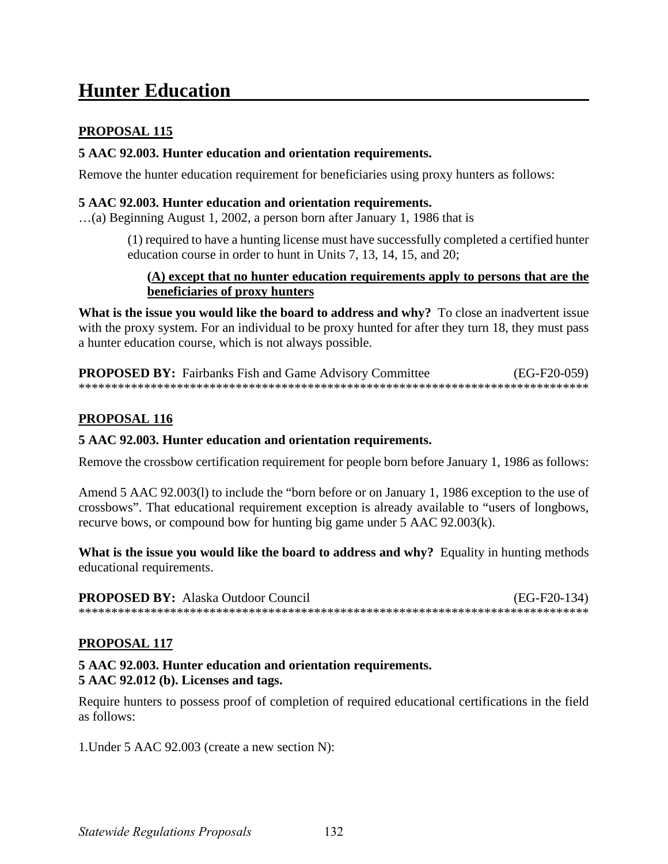# **Hunter Education**

# **PROPOSAL 115**

### 5 AAC 92.003. Hunter education and orientation requirements.

Remove the hunter education requirement for beneficiaries using proxy hunters as follows:

## 5 AAC 92.003. Hunter education and orientation requirements.

...(a) Beginning August 1, 2002, a person born after January 1, 1986 that is

(1) required to have a hunting license must have successfully completed a certified hunter education course in order to hunt in Units 7, 13, 14, 15, and 20;

#### (A) except that no hunter education requirements apply to persons that are the beneficiaries of proxy hunters

What is the issue you would like the board to address and why? To close an inadvertent issue with the proxy system. For an individual to be proxy hunted for after they turn 18, they must pass a hunter education course, which is not always possible.

**PROPOSED BY:** Fairbanks Fish and Game Advisory Committee  $(EG-F20-059)$ 

# **PROPOSAL 116**

### 5 AAC 92.003. Hunter education and orientation requirements.

Remove the crossbow certification requirement for people born before January 1, 1986 as follows:

Amend 5 AAC 92.003(1) to include the "born before or on January 1, 1986 exception to the use of crossbows". That educational requirement exception is already available to "users of longbows, recurve bows, or compound bow for hunting big game under 5 AAC 92.003(k).

What is the issue you would like the board to address and why? Equality in hunting methods educational requirements.

**PROPOSED BY:** Alaska Outdoor Council  $(EG-F20-134)$ 

### PROPOSAL 117

#### 5 AAC 92.003. Hunter education and orientation requirements. 5 AAC 92.012 (b). Licenses and tags.

Require hunters to possess proof of completion of required educational certifications in the field as follows:

1. Under 5 AAC 92.003 (create a new section N):